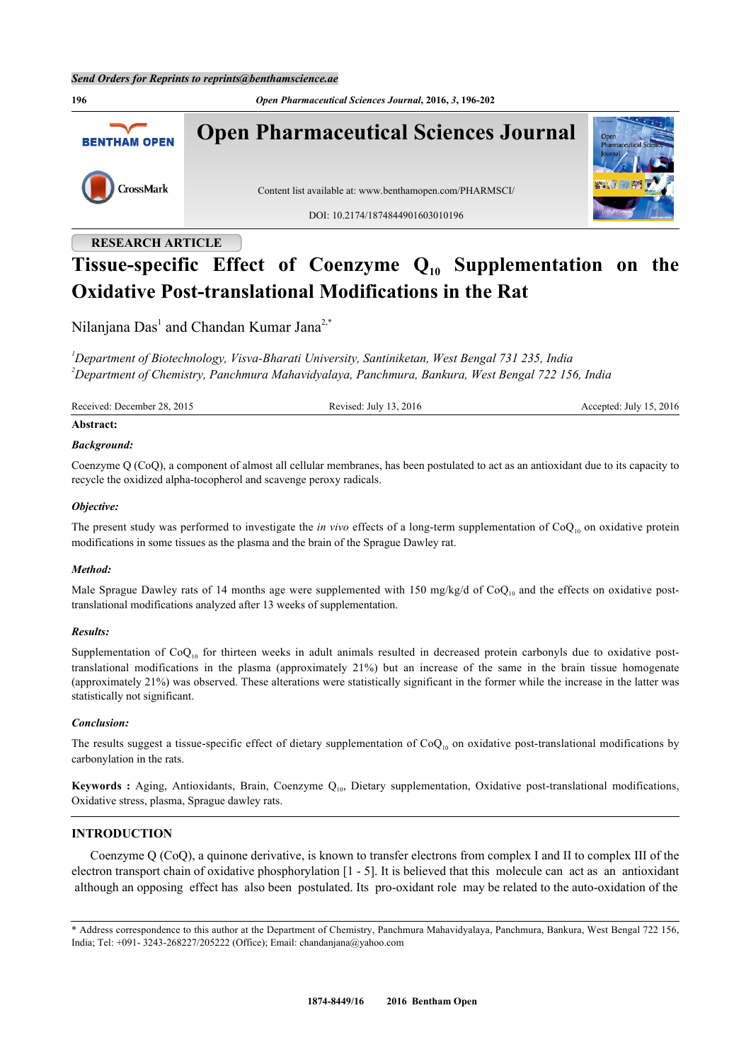**196** *Open Pharmaceutical Sciences Journal***, 2016,** *3***, 196-202 Open Pharmaceutical Sciences Journal BENTHAM OPEN** CrossMark Content list available at: [www.benthamopen.com/PHARMSCI/](http://www.benthamopen.com/PHARMSCI/) DOI: [10.2174/1874844901603010196](http://dx.doi.org/10.2174/1874844901603010196)

## **RESEARCH ARTICLE**

# **Tissue-specific Effect of Coenzyme Q10 Supplementation on the Oxidative Post-translational Modifications in the Rat**

Nilanjana Das<sup>[1](#page-0-0)</sup> and Chandan Kumar Jana<sup>[2](#page--1-0),[\\*](#page-0-1)</sup>

<span id="page-0-0"></span>*<sup>1</sup>Department of Biotechnology, Visva-Bharati University, Santiniketan, West Bengal 731 235, India <sup>2</sup>Department of Chemistry, Panchmura Mahavidyalaya, Panchmura, Bankura, West Bengal 722 156, India*

Received: December 28, 2015 Revised: July 13, 2016 Revised: July 13, 2016 Accepted: July 15, 2016

## **Abstract:**

#### *Background:*

Coenzyme Q (CoQ), a component of almost all cellular membranes, has been postulated to act as an antioxidant due to its capacity to recycle the oxidized alpha-tocopherol and scavenge peroxy radicals.

## *Objective:*

The present study was performed to investigate the *in vivo* effects of a long-term supplementation of  $CoQ_{10}$  on oxidative protein modifications in some tissues as the plasma and the brain of the Sprague Dawley rat.

#### *Method:*

Male Sprague Dawley rats of 14 months age were supplemented with 150 mg/kg/d of  $CoQ_{10}$  and the effects on oxidative posttranslational modifications analyzed after 13 weeks of supplementation.

## *Results:*

Supplementation of  $CoQ_{10}$  for thirteen weeks in adult animals resulted in decreased protein carbonyls due to oxidative posttranslational modifications in the plasma (approximately 21%) but an increase of the same in the brain tissue homogenate (approximately 21%) was observed. These alterations were statistically significant in the former while the increase in the latter was statistically not significant.

#### *Conclusion:*

The results suggest a tissue-specific effect of dietary supplementation of  $CoQ_{10}$  on oxidative post-translational modifications by carbonylation in the rats.

Keywords : Aging, Antioxidants, Brain, Coenzyme Q<sub>10</sub>, Dietary supplementation, Oxidative post-translational modifications, Oxidative stress, plasma, Sprague dawley rats.

## **INTRODUCTION**

Coenzyme Q (CoQ), a quinone derivative, is known to transfer electrons from complex I and II to complex III of the electron transport chain of oxidative phosphorylation [\[1](#page-4-0) - [5\]](#page-4-1). It is believed that this molecule can act as an antioxidant although an opposing effect has also been postulated. Its pro-oxidant role may be related to the auto-oxidation of the

<span id="page-0-1"></span><sup>\*</sup> Address correspondence to this author at the Department of Chemistry, Panchmura Mahavidyalaya, Panchmura, Bankura, West Bengal 722 156, India; Tel: +091- 3243-268227/205222 (Office); Email: [chandanjana@yahoo.com](mailto:chandanjana@yahoo.com)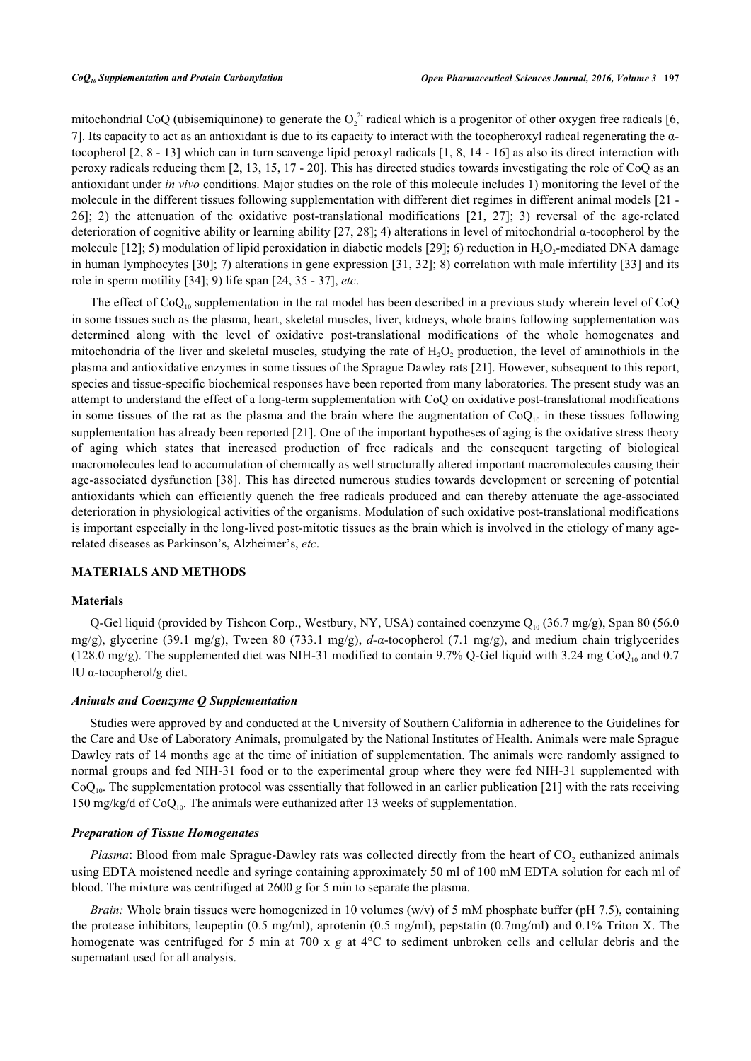mitochondrial CoQ (ubisemiquinone) to generate the  $O_2^2$  radical which is a progenitor of other oxygen free radicals [\[6](#page-4-2), [7\]](#page-4-3). Its capacity to act as an antioxidant is due to its capacity to interact with the tocopheroxyl radical regenerating the αtocopherol [[2](#page-4-4), [8](#page-4-5) - [13](#page-4-6)] which can in turn scavenge lipid peroxyl radicals [\[1](#page-4-0), [8,](#page-4-5) [14](#page-4-7) - [16\]](#page-4-8) as also its direct interaction with peroxy radicals reducing them [[2,](#page-4-4) [13,](#page-4-6) [15,](#page-4-9) [17](#page-5-0) - [20\]](#page-5-1). This has directed studies towards investigating the role of CoQ as an antioxidant under *in vivo* conditions. Major studies on the role of this molecule includes 1) monitoring the level of the molecule in the different tissues following supplementation with different diet regimes in different animal models [[21](#page-5-2) - [26\]](#page-5-3); 2) the attenuation of the oxidative post-translational modifications[[21](#page-5-2), [27\]](#page-5-4); 3) reversal of the age-related deterioration of cognitive ability or learning ability [[27,](#page-5-4) [28](#page-5-5)]; 4) alterations in level of mitochondrial α-tocopherol by the molecule [\[12](#page-4-10)]; 5) modulation of lipid peroxidation in diabetic models [[29\]](#page-5-6); 6) reduction in  $H_2O_2$ -mediated DNA damage in human lymphocytes [[30](#page-5-7)]; 7) alterations in gene expression [[31](#page-5-8), [32\]](#page-5-9); 8) correlation with male infertility [\[33](#page-5-10)] and its role in sperm motility [\[34](#page-5-11)]; 9) life span [[24,](#page-5-12) [35](#page-5-13) - [37](#page-6-0)], *etc*.

The effect of  $CoQ_{10}$  supplementation in the rat model has been described in a previous study wherein level of  $CoQ$ in some tissues such as the plasma, heart, skeletal muscles, liver, kidneys, whole brains following supplementation was determined along with the level of oxidative post-translational modifications of the whole homogenates and mitochondria of the liver and skeletal muscles, studying the rate of  $H_2O_2$  production, the level of aminothiols in the plasma and antioxidative enzymes in some tissues of the Sprague Dawley rats [[21\]](#page-5-2). However, subsequent to this report, species and tissue-specific biochemical responses have been reported from many laboratories. The present study was an attempt to understand the effect of a long-term supplementation with CoQ on oxidative post-translational modifications in some tissues of the rat as the plasma and the brain where the augmentation of  $CoQ_{10}$  in these tissues following supplementation has already been reported [[21](#page-5-2)]. One of the important hypotheses of aging is the oxidative stress theory of aging which states that increased production of free radicals and the consequent targeting of biological macromolecules lead to accumulation of chemically as well structurally altered important macromolecules causing their age-associated dysfunction [[38](#page-6-1)]. This has directed numerous studies towards development or screening of potential antioxidants which can efficiently quench the free radicals produced and can thereby attenuate the age-associated deterioration in physiological activities of the organisms. Modulation of such oxidative post-translational modifications is important especially in the long-lived post-mitotic tissues as the brain which is involved in the etiology of many agerelated diseases as Parkinson's, Alzheimer's, *etc*.

## **MATERIALS AND METHODS**

#### **Materials**

Q-Gel liquid (provided by Tishcon Corp., Westbury, NY, USA) contained coenzyme  $Q_{10}$  (36.7 mg/g), Span 80 (56.0 mg/g), glycerine (39.1 mg/g), Tween 80 (733.1 mg/g), *d-α*-tocopherol (7.1 mg/g), and medium chain triglycerides (128.0 mg/g). The supplemented diet was NIH-31 modified to contain 9.7% Q-Gel liquid with 3.24 mg CoQ<sub>10</sub> and 0.7 IU α-tocopherol/g diet.

## *Animals and Coenzyme Q Supplementation*

Studies were approved by and conducted at the University of Southern California in adherence to the Guidelines for the Care and Use of Laboratory Animals, promulgated by the National Institutes of Health. Animals were male Sprague Dawley rats of 14 months age at the time of initiation of supplementation. The animals were randomly assigned to normal groups and fed NIH-31 food or to the experimental group where they were fed NIH-31 supplemented with  $CoQ<sub>10</sub>$ . The supplementation protocol was essentially that followed in an earlier publication [\[21](#page-5-2)] with the rats receiving 150 mg/kg/d of  $CoQ_{10}$ . The animals were euthanized after 13 weeks of supplementation.

## *Preparation of Tissue Homogenates*

*Plasma*: Blood from male Sprague-Dawley rats was collected directly from the heart of  $CO<sub>2</sub>$  euthanized animals using EDTA moistened needle and syringe containing approximately 50 ml of 100 mM EDTA solution for each ml of blood. The mixture was centrifuged at 2600 *g* for 5 min to separate the plasma.

*Brain:* Whole brain tissues were homogenized in 10 volumes (w/v) of 5 mM phosphate buffer (pH 7.5), containing the protease inhibitors, leupeptin (0.5 mg/ml), aprotenin (0.5 mg/ml), pepstatin (0.7mg/ml) and 0.1% Triton X. The homogenate was centrifuged for 5 min at 700 x *g* at 4<sup>o</sup>C to sediment unbroken cells and cellular debris and the supernatant used for all analysis.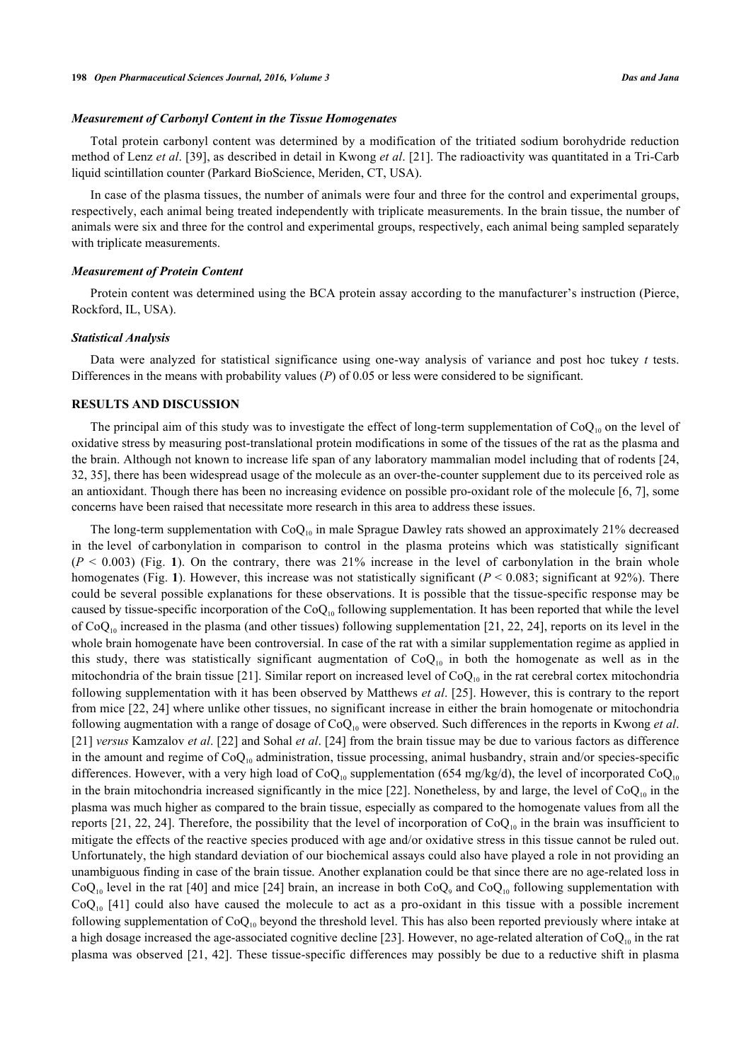## *Measurement of Carbonyl Content in the Tissue Homogenates*

Total protein carbonyl content was determined by a modification of the tritiated sodium borohydride reduction method of Lenz *et al*. [[39\]](#page-6-2), as described in detail in Kwong *et al*. [[21\]](#page-5-2). The radioactivity was quantitated in a Tri-Carb liquid scintillation counter (Parkard BioScience, Meriden, CT, USA).

In case of the plasma tissues, the number of animals were four and three for the control and experimental groups, respectively, each animal being treated independently with triplicate measurements. In the brain tissue, the number of animals were six and three for the control and experimental groups, respectively, each animal being sampled separately with triplicate measurements.

#### *Measurement of Protein Content*

Protein content was determined using the BCA protein assay according to the manufacturer's instruction (Pierce, Rockford, IL, USA).

#### *Statistical Analysis*

Data were analyzed for statistical significance using one-way analysis of variance and post hoc tukey *t* tests. Differences in the means with probability values (*P*) of 0.05 or less were considered to be significant.

#### **RESULTS AND DISCUSSION**

The principal aim of this study was to investigate the effect of long-term supplementation of  $CoQ_{10}$  on the level of oxidative stress by measuring post-translational protein modifications in some of the tissues of the rat as the plasma and the brain. Although not known to increase life span of any laboratory mammalian model including that of rodents [[24](#page-5-12), [32,](#page-5-9) [35\]](#page-5-13), there has been widespread usage of the molecule as an over-the-counter supplement due to its perceived role as an antioxidant. Though there has been no increasing evidence on possible pro-oxidant role of the molecule [[6,](#page-4-2) [7\]](#page-4-3), some concerns have been raised that necessitate more research in this area to address these issues.

The long-term supplementation with  $CoQ_{10}$  in male Sprague Dawley rats showed an approximately 21% decreased in the level of carbonylation in comparison to control in the plasma proteins which was statistically significant  $(P \le 0.003)$  $(P \le 0.003)$  $(P \le 0.003)$  (Fig. 1). On the contrary, there was 21% increase in the level of carbonylation in the brain whole homogenates (Fig. [1](#page-3-0)). However, this increase was not statistically significant ( $P < 0.083$ ; significant at 92%). There could be several possible explanations for these observations. It is possible that the tissue-specific response may be caused by tissue-specific incorporation of the  $CoQ_{10}$  following supplementation. It has been reported that while the level of CoQ<sub>10</sub> increased in the plasma (and other tissues) following supplementation [[21](#page-5-2), [22,](#page-5-14) [24](#page-5-12)], reports on its level in the whole brain homogenate have been controversial. In case of the rat with a similar supplementation regime as applied in this study, there was statistically significant augmentation of  $CoQ_{10}$  in both the homogenate as well as in the mitochondria of the brain tissue [\[21\]](#page-5-2). Similar report on increased level of  $CoQ_{10}$  in the rat cerebral cortex mitochondria following supplementation with it has been observed by Matthews *et al*. [\[25\]](#page-5-15). However, this is contrary to the report from mice [\[22](#page-5-14), [24\]](#page-5-12) where unlike other tissues, no significant increase in either the brain homogenate or mitochondria following augmentation with a range of dosage of CoQ10 were observed. Such differences in the reports in Kwong *et al*. [\[21](#page-5-2)] *versus* Kamzalov *et al*. [\[22\]](#page-5-14) and Sohal *et al*. [[24](#page-5-12)] from the brain tissue may be due to various factors as difference in the amount and regime of  $CoQ_{10}$  administration, tissue processing, animal husbandry, strain and/or species-specific differences. However, with a very high load of  $CoQ_{10}$  supplementation (654 mg/kg/d), the level of incorporated  $CoQ_{10}$ in the brain mitochondria increased significantly in the mice [\[22\]](#page-5-14). Nonetheless, by and large, the level of  $CoQ_{10}$  in the plasma was much higher as compared to the brain tissue, especially as compared to the homogenate values from all the reports [\[21,](#page-5-2) [22](#page-5-14), [24\]](#page-5-12). Therefore, the possibility that the level of incorporation of  $CoQ<sub>10</sub>$  in the brain was insufficient to mitigate the effects of the reactive species produced with age and/or oxidative stress in this tissue cannot be ruled out. Unfortunately, the high standard deviation of our biochemical assays could also have played a role in not providing an unambiguous finding in case of the brain tissue. Another explanation could be that since there are no age-related loss in  $CoQ_{10}$  level in the rat [\[40](#page-6-3)] and mice [[24](#page-5-12)] brain, an increase in both  $CoQ_9$  and  $CoQ_{10}$  following supplementation with  $CoQ<sub>10</sub>$  [\[41](#page-6-4)] could also have caused the molecule to act as a pro-oxidant in this tissue with a possible increment following supplementation of  $CoQ_{10}$  beyond the threshold level. This has also been reported previously where intake at a high dosage increased the age-associated cognitive decline [[23](#page-5-16)]. However, no age-related alteration of  $CoQ_{10}$  in the rat plasma was observed [[21](#page-5-2), [42](#page-6-5)]. These tissue-specific differences may possibly be due to a reductive shift in plasma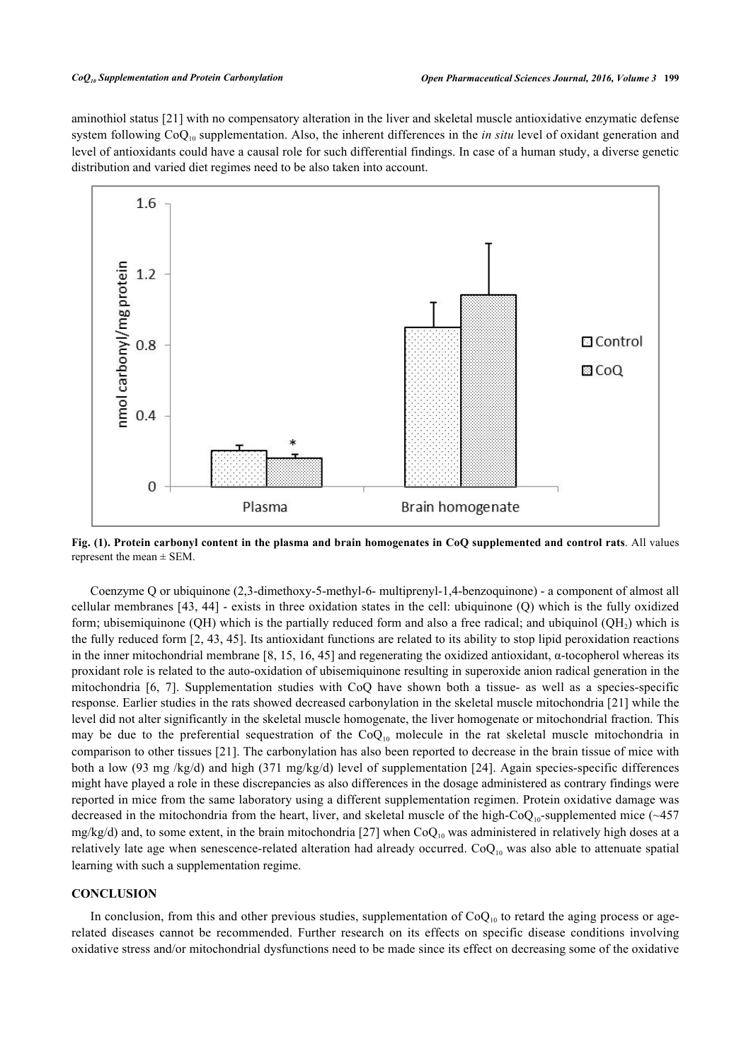aminothiol status [[21\]](#page-5-2) with no compensatory alteration in the liver and skeletal muscle antioxidative enzymatic defense system following  $CoQ_{10}$  supplementation. Also, the inherent differences in the *in situ* level of oxidant generation and level of antioxidants could have a causal role for such differential findings. In case of a human study, a diverse genetic distribution and varied diet regimes need to be also taken into account.

<span id="page-3-0"></span>

**Fig. (1). Protein carbonyl content in the plasma and brain homogenates in CoQ supplemented and control rats**. All values represent the mean  $\pm$  SEM.

Coenzyme Q or ubiquinone (2,3-dimethoxy-5-methyl-6- multiprenyl-1,4-benzoquinone) - a component of almost all cellular membranes [\[43](#page-6-6), [44](#page-6-7)] - exists in three oxidation states in the cell: ubiquinone (Q) which is the fully oxidized form; ubisemiquinone (QH) which is the partially reduced form and also a free radical; and ubiquinol (QH<sub>2</sub>) which is the fully reduced form [[2](#page-4-4), [43](#page-6-6), [45\]](#page-6-8). Its antioxidant functions are related to its ability to stop lipid peroxidation reactions in the inner mitochondrial membrane [[8,](#page-4-5) [15](#page-4-9), [16](#page-4-8), [45](#page-6-8)] and regenerating the oxidized antioxidant, α-tocopherol whereas its proxidant role is related to the auto-oxidation of ubisemiquinone resulting in superoxide anion radical generation in the mitochondria[[6](#page-4-2), [7](#page-4-3)]. Supplementation studies with CoQ have shown both a tissue- as well as a species-specific response. Earlier studies in the rats showed decreased carbonylation in the skeletal muscle mitochondria [[21](#page-5-2)] while the level did not alter significantly in the skeletal muscle homogenate, the liver homogenate or mitochondrial fraction. This may be due to the preferential sequestration of the  $CoQ_{10}$  molecule in the rat skeletal muscle mitochondria in comparison to other tissues [\[21](#page-5-2)]. The carbonylation has also been reported to decrease in the brain tissue of mice with both a low (93 mg /kg/d) and high (371 mg/kg/d) level of supplementation [\[24](#page-5-12)]. Again species-specific differences might have played a role in these discrepancies as also differences in the dosage administered as contrary findings were reported in mice from the same laboratory using a different supplementation regimen. Protein oxidative damage was decreased in the mitochondria from the heart, liver, and skeletal muscle of the high-CoQ<sub>10</sub>-supplemented mice (~457) mg/kg/d) and, to some extent, in the brain mitochondria [[27\]](#page-5-4) when  $CoQ_{10}$  was administered in relatively high doses at a relatively late age when senescence-related alteration had already occurred.  $CoQ_{10}$  was also able to attenuate spatial learning with such a supplementation regime.

## **CONCLUSION**

In conclusion, from this and other previous studies, supplementation of  $CoQ_{10}$  to retard the aging process or agerelated diseases cannot be recommended. Further research on its effects on specific disease conditions involving oxidative stress and/or mitochondrial dysfunctions need to be made since its effect on decreasing some of the oxidative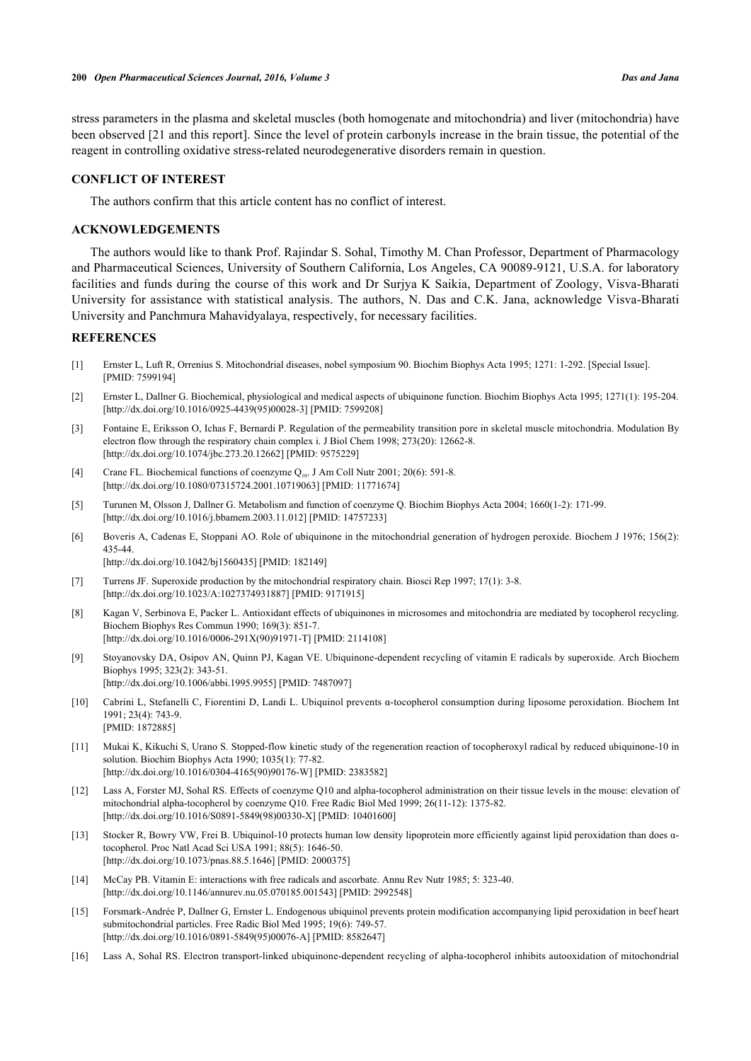stress parameters in the plasma and skeletal muscles (both homogenate and mitochondria) and liver (mitochondria) have been observed [21 and this report]. Since the level of protein carbonyls increase in the brain tissue, the potential of the reagent in controlling oxidative stress-related neurodegenerative disorders remain in question.

## **CONFLICT OF INTEREST**

The authors confirm that this article content has no conflict of interest.

## **ACKNOWLEDGEMENTS**

The authors would like to thank Prof. Rajindar S. Sohal, Timothy M. Chan Professor, Department of Pharmacology and Pharmaceutical Sciences, University of Southern California, Los Angeles, CA 90089-9121, U.S.A. for laboratory facilities and funds during the course of this work and Dr Surjya K Saikia, Department of Zoology, Visva-Bharati University for assistance with statistical analysis. The authors, N. Das and C.K. Jana, acknowledge Visva-Bharati University and Panchmura Mahavidyalaya, respectively, for necessary facilities.

## **REFERENCES**

- <span id="page-4-0"></span>[1] Ernster L, Luft R, Orrenius S. Mitochondrial diseases, nobel symposium 90. Biochim Biophys Acta 1995; 1271: 1-292. [Special Issue]. [PMID: [7599194\]](http://www.ncbi.nlm.nih.gov/pubmed/7599194)
- <span id="page-4-4"></span>[2] Ernster L, Dallner G. Biochemical, physiological and medical aspects of ubiquinone function. Biochim Biophys Acta 1995; 1271(1): 195-204. [\[http://dx.doi.org/10.1016/0925-4439\(95\)00028-3](http://dx.doi.org/10.1016/0925-4439(95)00028-3)] [PMID: [7599208](http://www.ncbi.nlm.nih.gov/pubmed/7599208)]
- [3] Fontaine E, Eriksson O, Ichas F, Bernardi P. Regulation of the permeability transition pore in skeletal muscle mitochondria. Modulation By electron flow through the respiratory chain complex i. J Biol Chem 1998; 273(20): 12662-8. [\[http://dx.doi.org/10.1074/jbc.273.20.12662\]](http://dx.doi.org/10.1074/jbc.273.20.12662) [PMID: [9575229](http://www.ncbi.nlm.nih.gov/pubmed/9575229)]
- [4] Crane FL. Biochemical functions of coenzyme Q<sub>10</sub>. J Am Coll Nutr 2001; 20(6): 591-8. [\[http://dx.doi.org/10.1080/07315724.2001.10719063\]](http://dx.doi.org/10.1080/07315724.2001.10719063) [PMID: [11771674](http://www.ncbi.nlm.nih.gov/pubmed/11771674)]
- <span id="page-4-1"></span>[5] Turunen M, Olsson J, Dallner G. Metabolism and function of coenzyme Q. Biochim Biophys Acta 2004; 1660(1-2): 171-99. [\[http://dx.doi.org/10.1016/j.bbamem.2003.11.012\]](http://dx.doi.org/10.1016/j.bbamem.2003.11.012) [PMID: [14757233](http://www.ncbi.nlm.nih.gov/pubmed/14757233)]
- <span id="page-4-2"></span>[6] Boveris A, Cadenas E, Stoppani AO. Role of ubiquinone in the mitochondrial generation of hydrogen peroxide. Biochem J 1976; 156(2): 435-44.

[\[http://dx.doi.org/10.1042/bj1560435](http://dx.doi.org/10.1042/bj1560435)] [PMID: [182149\]](http://www.ncbi.nlm.nih.gov/pubmed/182149)

- <span id="page-4-3"></span>[7] Turrens JF. Superoxide production by the mitochondrial respiratory chain. Biosci Rep 1997; 17(1): 3-8. [\[http://dx.doi.org/10.1023/A:1027374931887\]](http://dx.doi.org/10.1023/A:1027374931887) [PMID: [9171915](http://www.ncbi.nlm.nih.gov/pubmed/9171915)]
- <span id="page-4-5"></span>[8] Kagan V, Serbinova E, Packer L. Antioxidant effects of ubiquinones in microsomes and mitochondria are mediated by tocopherol recycling. Biochem Biophys Res Commun 1990; 169(3): 851-7. [\[http://dx.doi.org/10.1016/0006-291X\(90\)91971-T](http://dx.doi.org/10.1016/0006-291X(90)91971-T)] [PMID: [2114108\]](http://www.ncbi.nlm.nih.gov/pubmed/2114108)
- [9] Stoyanovsky DA, Osipov AN, Quinn PJ, Kagan VE. Ubiquinone-dependent recycling of vitamin E radicals by superoxide. Arch Biochem Biophys 1995; 323(2): 343-51. [\[http://dx.doi.org/10.1006/abbi.1995.9955\]](http://dx.doi.org/10.1006/abbi.1995.9955) [PMID: [7487097](http://www.ncbi.nlm.nih.gov/pubmed/7487097)]
- [10] Cabrini L, Stefanelli C, Fiorentini D, Landi L. Ubiquinol prevents α-tocopherol consumption during liposome peroxidation. Biochem Int 1991; 23(4): 743-9. [PMID: [1872885\]](http://www.ncbi.nlm.nih.gov/pubmed/1872885)
- [11] Mukai K, Kikuchi S, Urano S. Stopped-flow kinetic study of the regeneration reaction of tocopheroxyl radical by reduced ubiquinone-10 in solution. Biochim Biophys Acta 1990; 1035(1): 77-82. [\[http://dx.doi.org/10.1016/0304-4165\(90\)90176-W](http://dx.doi.org/10.1016/0304-4165(90)90176-W)] [PMID: [2383582\]](http://www.ncbi.nlm.nih.gov/pubmed/2383582)
- <span id="page-4-10"></span>[12] Lass A, Forster MJ, Sohal RS. Effects of coenzyme Q10 and alpha-tocopherol administration on their tissue levels in the mouse: elevation of mitochondrial alpha-tocopherol by coenzyme Q10. Free Radic Biol Med 1999; 26(11-12): 1375-82. [\[http://dx.doi.org/10.1016/S0891-5849\(98\)00330-X\]](http://dx.doi.org/10.1016/S0891-5849(98)00330-X) [PMID: [10401600](http://www.ncbi.nlm.nih.gov/pubmed/10401600)]
- <span id="page-4-6"></span>[13] Stocker R, Bowry VW, Frei B. Ubiquinol-10 protects human low density lipoprotein more efficiently against lipid peroxidation than does αtocopherol. Proc Natl Acad Sci USA 1991; 88(5): 1646-50. [\[http://dx.doi.org/10.1073/pnas.88.5.1646](http://dx.doi.org/10.1073/pnas.88.5.1646)] [PMID: [2000375](http://www.ncbi.nlm.nih.gov/pubmed/2000375)]
- <span id="page-4-7"></span>[14] McCay PB. Vitamin E: interactions with free radicals and ascorbate. Annu Rev Nutr 1985; 5: 323-40. [\[http://dx.doi.org/10.1146/annurev.nu.05.070185.001543\]](http://dx.doi.org/10.1146/annurev.nu.05.070185.001543) [PMID: [2992548](http://www.ncbi.nlm.nih.gov/pubmed/2992548)]
- <span id="page-4-9"></span>[15] Forsmark-Andrée P, Dallner G, Ernster L. Endogenous ubiquinol prevents protein modification accompanying lipid peroxidation in beef heart submitochondrial particles. Free Radic Biol Med 1995; 19(6): 749-57. [\[http://dx.doi.org/10.1016/0891-5849\(95\)00076-A](http://dx.doi.org/10.1016/0891-5849(95)00076-A)] [PMID: [8582647\]](http://www.ncbi.nlm.nih.gov/pubmed/8582647)
- <span id="page-4-8"></span>[16] Lass A, Sohal RS. Electron transport-linked ubiquinone-dependent recycling of alpha-tocopherol inhibits autooxidation of mitochondrial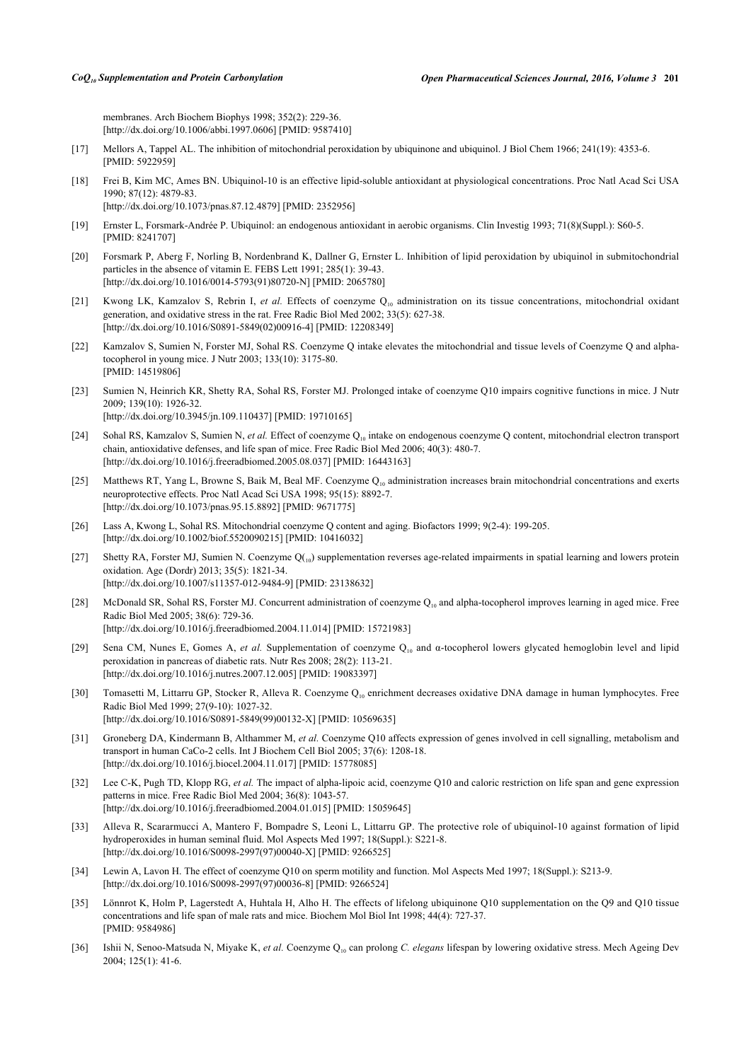membranes. Arch Biochem Biophys 1998; 352(2): 229-36. [\[http://dx.doi.org/10.1006/abbi.1997.0606\]](http://dx.doi.org/10.1006/abbi.1997.0606) [PMID: [9587410](http://www.ncbi.nlm.nih.gov/pubmed/9587410)]

- <span id="page-5-0"></span>[17] Mellors A, Tappel AL. The inhibition of mitochondrial peroxidation by ubiquinone and ubiquinol. J Biol Chem 1966; 241(19): 4353-6. [PMID: [5922959\]](http://www.ncbi.nlm.nih.gov/pubmed/5922959)
- [18] Frei B, Kim MC, Ames BN. Ubiquinol-10 is an effective lipid-soluble antioxidant at physiological concentrations. Proc Natl Acad Sci USA 1990; 87(12): 4879-83. [\[http://dx.doi.org/10.1073/pnas.87.12.4879](http://dx.doi.org/10.1073/pnas.87.12.4879)] [PMID: [2352956](http://www.ncbi.nlm.nih.gov/pubmed/2352956)]
- [19] Ernster L, Forsmark-Andrée P. Ubiquinol: an endogenous antioxidant in aerobic organisms. Clin Investig 1993; 71(8)(Suppl.): S60-5. [PMID: [8241707\]](http://www.ncbi.nlm.nih.gov/pubmed/8241707)
- <span id="page-5-1"></span>[20] Forsmark P, Aberg F, Norling B, Nordenbrand K, Dallner G, Ernster L. Inhibition of lipid peroxidation by ubiquinol in submitochondrial particles in the absence of vitamin E. FEBS Lett 1991; 285(1): 39-43. [\[http://dx.doi.org/10.1016/0014-5793\(91\)80720-N](http://dx.doi.org/10.1016/0014-5793(91)80720-N)] [PMID: [2065780\]](http://www.ncbi.nlm.nih.gov/pubmed/2065780)
- <span id="page-5-2"></span>[21] Kwong LK, Kamzalov S, Rebrin I, *et al.* Effects of coenzyme Q<sub>10</sub> administration on its tissue concentrations, mitochondrial oxidant generation, and oxidative stress in the rat. Free Radic Biol Med 2002; 33(5): 627-38. [\[http://dx.doi.org/10.1016/S0891-5849\(02\)00916-4\]](http://dx.doi.org/10.1016/S0891-5849(02)00916-4) [PMID: [12208349](http://www.ncbi.nlm.nih.gov/pubmed/12208349)]
- <span id="page-5-14"></span>[22] Kamzalov S, Sumien N, Forster MJ, Sohal RS. Coenzyme Q intake elevates the mitochondrial and tissue levels of Coenzyme Q and alphatocopherol in young mice. J Nutr 2003; 133(10): 3175-80. [PMID: [14519806\]](http://www.ncbi.nlm.nih.gov/pubmed/14519806)
- <span id="page-5-16"></span>[23] Sumien N, Heinrich KR, Shetty RA, Sohal RS, Forster MJ. Prolonged intake of coenzyme Q10 impairs cognitive functions in mice. J Nutr 2009; 139(10): 1926-32. [\[http://dx.doi.org/10.3945/jn.109.110437](http://dx.doi.org/10.3945/jn.109.110437)] [PMID: [19710165\]](http://www.ncbi.nlm.nih.gov/pubmed/19710165)
- <span id="page-5-12"></span>[24] Sohal RS, Kamzalov S, Sumien N, *et al.* Effect of coenzyme Q<sub>10</sub> intake on endogenous coenzyme Q content, mitochondrial electron transport chain, antioxidative defenses, and life span of mice. Free Radic Biol Med 2006; 40(3): 480-7. [\[http://dx.doi.org/10.1016/j.freeradbiomed.2005.08.037\]](http://dx.doi.org/10.1016/j.freeradbiomed.2005.08.037) [PMID: [16443163](http://www.ncbi.nlm.nih.gov/pubmed/16443163)]
- <span id="page-5-15"></span>[25] Matthews RT, Yang L, Browne S, Baik M, Beal MF. Coenzyme Q<sub>10</sub> administration increases brain mitochondrial concentrations and exerts neuroprotective effects. Proc Natl Acad Sci USA 1998; 95(15): 8892-7. [\[http://dx.doi.org/10.1073/pnas.95.15.8892](http://dx.doi.org/10.1073/pnas.95.15.8892)] [PMID: [9671775](http://www.ncbi.nlm.nih.gov/pubmed/9671775)]
- <span id="page-5-3"></span>[26] Lass A, Kwong L, Sohal RS. Mitochondrial coenzyme Q content and aging. Biofactors 1999; 9(2-4): 199-205. [\[http://dx.doi.org/10.1002/biof.5520090215\]](http://dx.doi.org/10.1002/biof.5520090215) [PMID: [10416032](http://www.ncbi.nlm.nih.gov/pubmed/10416032)]
- <span id="page-5-4"></span>[27] Shetty RA, Forster MJ, Sumien N. Coenzyme Q(10) supplementation reverses age-related impairments in spatial learning and lowers protein oxidation. Age (Dordr) 2013; 35(5): 1821-34. [\[http://dx.doi.org/10.1007/s11357-012-9484-9\]](http://dx.doi.org/10.1007/s11357-012-9484-9) [PMID: [23138632](http://www.ncbi.nlm.nih.gov/pubmed/23138632)]
- <span id="page-5-5"></span>[28] McDonald SR, Sohal RS, Forster MJ. Concurrent administration of coenzyme  $Q_{10}$  and alpha-tocopherol improves learning in aged mice. Free Radic Biol Med 2005; 38(6): 729-36. [\[http://dx.doi.org/10.1016/j.freeradbiomed.2004.11.014\]](http://dx.doi.org/10.1016/j.freeradbiomed.2004.11.014) [PMID: [15721983](http://www.ncbi.nlm.nih.gov/pubmed/15721983)]
- <span id="page-5-6"></span>[29] Sena CM, Nunes E, Gomes A, *et al.* Supplementation of coenzyme Q<sub>10</sub> and α-tocopherol lowers glycated hemoglobin level and lipid peroxidation in pancreas of diabetic rats. Nutr Res 2008; 28(2): 113-21. [\[http://dx.doi.org/10.1016/j.nutres.2007.12.005\]](http://dx.doi.org/10.1016/j.nutres.2007.12.005) [PMID: [19083397](http://www.ncbi.nlm.nih.gov/pubmed/19083397)]
- <span id="page-5-7"></span>[30] Tomasetti M, Littarru GP, Stocker R, Alleva R. Coenzyme Q10 enrichment decreases oxidative DNA damage in human lymphocytes. Free Radic Biol Med 1999; 27(9-10): 1027-32. [\[http://dx.doi.org/10.1016/S0891-5849\(99\)00132-X\]](http://dx.doi.org/10.1016/S0891-5849(99)00132-X) [PMID: [10569635](http://www.ncbi.nlm.nih.gov/pubmed/10569635)]
- <span id="page-5-8"></span>[31] Groneberg DA, Kindermann B, Althammer M, *et al.* Coenzyme Q10 affects expression of genes involved in cell signalling, metabolism and transport in human CaCo-2 cells. Int J Biochem Cell Biol 2005; 37(6): 1208-18. [\[http://dx.doi.org/10.1016/j.biocel.2004.11.017\]](http://dx.doi.org/10.1016/j.biocel.2004.11.017) [PMID: [15778085](http://www.ncbi.nlm.nih.gov/pubmed/15778085)]
- <span id="page-5-9"></span>[32] Lee C-K, Pugh TD, Klopp RG, *et al.* The impact of alpha-lipoic acid, coenzyme Q10 and caloric restriction on life span and gene expression patterns in mice. Free Radic Biol Med 2004; 36(8): 1043-57. [\[http://dx.doi.org/10.1016/j.freeradbiomed.2004.01.015\]](http://dx.doi.org/10.1016/j.freeradbiomed.2004.01.015) [PMID: [15059645](http://www.ncbi.nlm.nih.gov/pubmed/15059645)]
- <span id="page-5-10"></span>[33] Alleva R, Scararmucci A, Mantero F, Bompadre S, Leoni L, Littarru GP. The protective role of ubiquinol-10 against formation of lipid hydroperoxides in human seminal fluid. Mol Aspects Med 1997; 18(Suppl.): S221-8. [\[http://dx.doi.org/10.1016/S0098-2997\(97\)00040-X\]](http://dx.doi.org/10.1016/S0098-2997(97)00040-X) [PMID: [9266525](http://www.ncbi.nlm.nih.gov/pubmed/9266525)]
- <span id="page-5-11"></span>[34] Lewin A, Lavon H. The effect of coenzyme Q10 on sperm motility and function. Mol Aspects Med 1997; 18(Suppl.): S213-9. [\[http://dx.doi.org/10.1016/S0098-2997\(97\)00036-8\]](http://dx.doi.org/10.1016/S0098-2997(97)00036-8) [PMID: [9266524](http://www.ncbi.nlm.nih.gov/pubmed/9266524)]
- <span id="page-5-13"></span>[35] Lönnrot K, Holm P, Lagerstedt A, Huhtala H, Alho H. The effects of lifelong ubiquinone Q10 supplementation on the Q9 and Q10 tissue concentrations and life span of male rats and mice. Biochem Mol Biol Int 1998; 44(4): 727-37. [PMID: [9584986\]](http://www.ncbi.nlm.nih.gov/pubmed/9584986)
- [36] Ishii N, Senoo-Matsuda N, Miyake K, *et al.* Coenzyme Q<sub>10</sub> can prolong *C. elegans* lifespan by lowering oxidative stress. Mech Ageing Dev 2004; 125(1): 41-6.